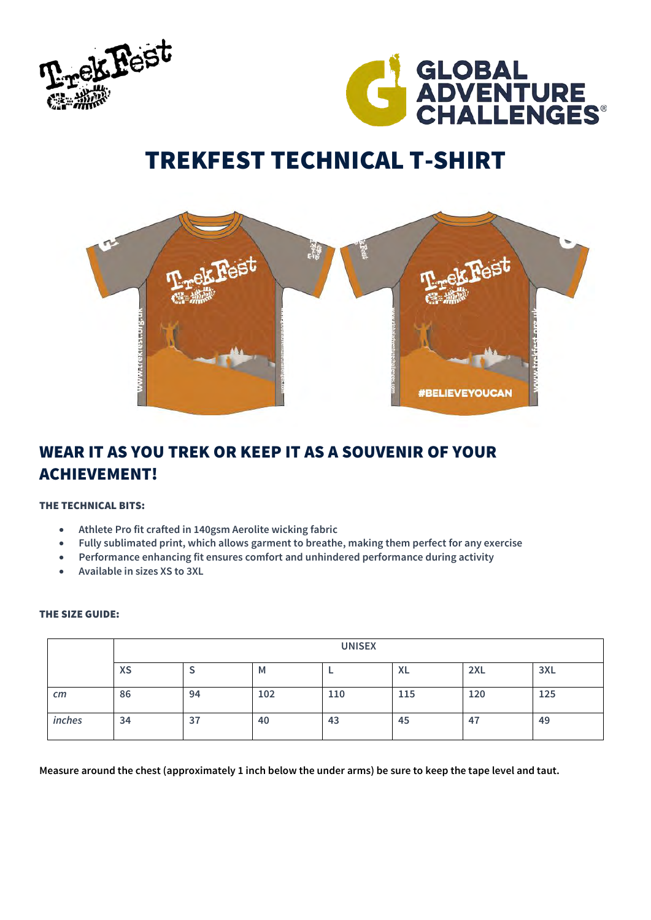



# TREKFEST TECHNICAL T-SHIRT



# WEAR IT AS YOU TREK OR KEEP IT AS A SOUVENIR OF YOUR ACHIEVEMENT!

### THE TECHNICAL BITS:

- **Athlete Pro fit crafted in 140gsm Aerolite wicking fabric**
- **Fully sublimated print, which allows garment to breathe, making them perfect for any exercise**
- **Performance enhancing fit ensures comfort and unhindered performance during activity**
- **Available in sizes XS to 3XL**

### THE SIZE GUIDE:

|              | <b>UNISEX</b> |    |     |     |           |     |     |
|--------------|---------------|----|-----|-----|-----------|-----|-----|
|              | <b>XS</b>     | پ  | M   |     | <b>XL</b> | 2XL | 3XL |
| $\epsilon$ m | 86            | 94 | 102 | 110 | 115       | 120 | 125 |
| inches       | 34            | 37 | 40  | 43  | 45        | 47  | 49  |

**Measure around the chest (approximately 1 inch below the under arms) be sure to keep the tape level and taut.**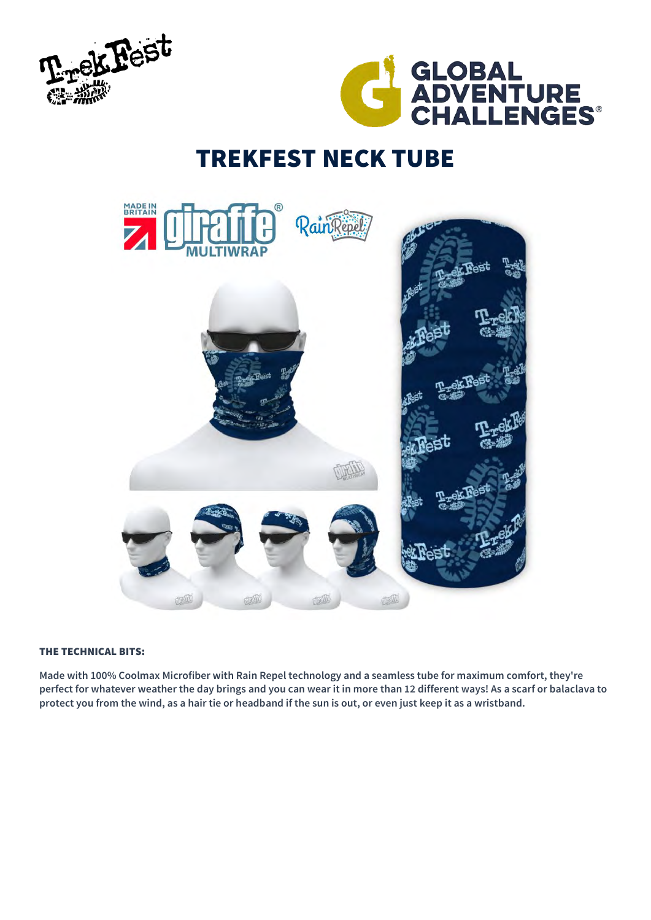



# TREKFEST NECK TUBE



## THE TECHNICAL BITS:

**Made with 100% Coolmax Microfiber with Rain Repel technology and a seamless tube for maximum comfort, they're perfect for whatever weather the day brings and you can wear it in more than 12 different ways! As a scarf or balaclava to protect you from the wind, as a hair tie or headband if the sun is out, or even just keep it as a wristband.**